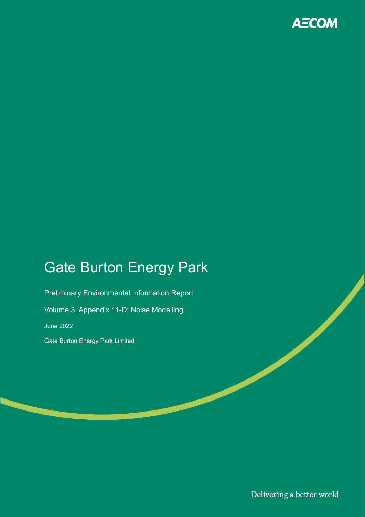

# Gate Burton Energy Park

Preliminary Environmental Information Report Volume 3, Appendix 11-D: Noise Modelling June 2022 Gate Burton Energy Park Limited

Delivering a better world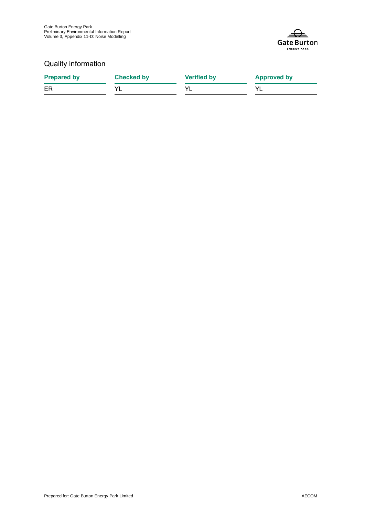

#### Quality information

| <b>Prepared by</b> | <b>Checked by</b> | <b>Verified by</b> | <b>Approved by</b> |
|--------------------|-------------------|--------------------|--------------------|
| ER                 |                   |                    |                    |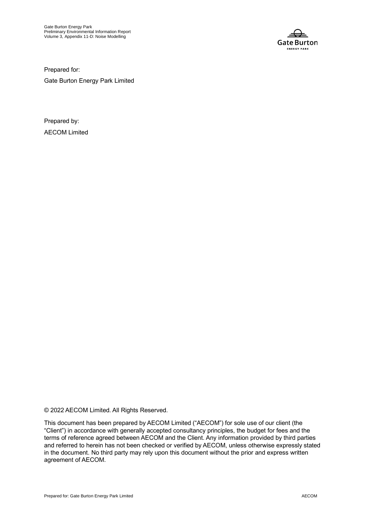

Prepared for:

Gate Burton Energy Park Limited

Prepared by: AECOM Limited

© 2022 AECOM Limited. All Rights Reserved.

This document has been prepared by AECOM Limited ("AECOM") for sole use of our client (the "Client") in accordance with generally accepted consultancy principles, the budget for fees and the terms of reference agreed between AECOM and the Client. Any information provided by third parties and referred to herein has not been checked or verified by AECOM, unless otherwise expressly stated in the document. No third party may rely upon this document without the prior and express written agreement of AECOM.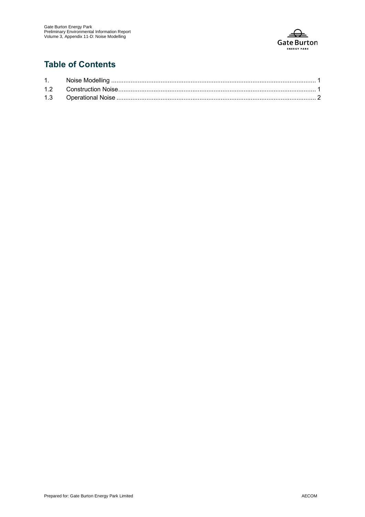

## **Table of Contents**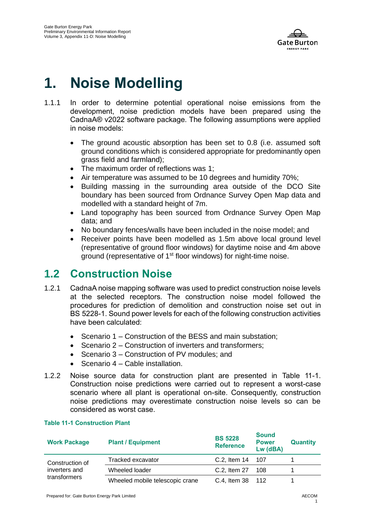

# **1. Noise Modelling**

- 1.1.1 In order to determine potential operational noise emissions from the development, noise prediction models have been prepared using the CadnaA® v2022 software package. The following assumptions were applied in noise models:
	- The ground acoustic absorption has been set to 0.8 (i.e. assumed soft ground conditions which is considered appropriate for predominantly open grass field and farmland);
	- The maximum order of reflections was 1:
	- Air temperature was assumed to be 10 degrees and humidity 70%;
	- Building massing in the surrounding area outside of the DCO Site boundary has been sourced from Ordnance Survey Open Map data and modelled with a standard height of 7m.
	- Land topography has been sourced from Ordnance Survey Open Map data; and
	- No boundary fences/walls have been included in the noise model; and
	- Receiver points have been modelled as 1.5m above local ground level (representative of ground floor windows) for daytime noise and 4m above ground (representative of 1st floor windows) for night-time noise.

# **1.2 Construction Noise**

- 1.2.1 CadnaA noise mapping software was used to predict construction noise levels at the selected receptors. The construction noise model followed the procedures for prediction of demolition and construction noise set out in BS 5228-1. Sound power levels for each of the following construction activities have been calculated:
	- Scenario 1 Construction of the BESS and main substation:
	- Scenario 2 Construction of inverters and transformers;
	- Scenario 3 Construction of PV modules; and
	- Scenario 4 Cable installation.
- 1.2.2 Noise source data for construction plant are presented in [Table 11-1.](#page-4-0) Construction noise predictions were carried out to represent a worst-case scenario where all plant is operational on-site. Consequently, construction noise predictions may overestimate construction noise levels so can be considered as worst case.

#### <span id="page-4-0"></span>**Table 11-1 Construction Plant**

| <b>Work Package</b>                              | <b>Plant / Equipment</b>        | <b>BS 5228</b><br><b>Reference</b> | <b>Sound</b><br><b>Power</b><br>Lw (dBA) | <b>Quantity</b> |
|--------------------------------------------------|---------------------------------|------------------------------------|------------------------------------------|-----------------|
| Construction of<br>inverters and<br>transformers | Tracked excavator               | C.2, Item 14 107                   |                                          |                 |
|                                                  | Wheeled loader                  | C.2, Item 27                       | - 108                                    |                 |
|                                                  | Wheeled mobile telescopic crane | C.4, Item 38 112                   |                                          |                 |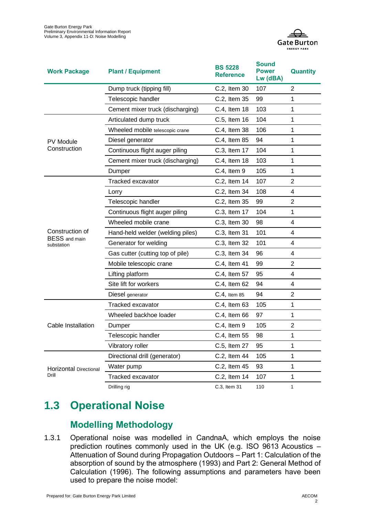

| <b>Work Package</b>                | <b>Plant / Equipment</b>         | <b>BS 5228</b><br><b>Reference</b> | <b>Sound</b><br><b>Power</b><br>Lw (dBA) | <b>Quantity</b> |
|------------------------------------|----------------------------------|------------------------------------|------------------------------------------|-----------------|
|                                    | Dump truck (tipping fill)        | C.2, Item 30                       | 107                                      | 2               |
|                                    | Telescopic handler               | C.2, Item 35                       | 99                                       | 1               |
|                                    | Cement mixer truck (discharging) | C.4, Item 18                       | 103                                      | 1               |
|                                    | Articulated dump truck           | C.5, Item 16                       | 104                                      | 1               |
|                                    | Wheeled mobile telescopic crane  | C.4, Item 38                       | 106                                      | 1               |
| <b>PV Module</b>                   | Diesel generator                 | C.4, Item 85                       | 94                                       | 1               |
| Construction                       | Continuous flight auger piling   | C.3, Item 17                       | 104                                      | 1               |
|                                    | Cement mixer truck (discharging) | C.4, Item 18                       | 103                                      | 1               |
|                                    | Dumper                           | C.4, Item 9                        | 105                                      | 1               |
|                                    | <b>Tracked excavator</b>         | C.2, Item 14                       | 107                                      | $\overline{2}$  |
|                                    | Lorry                            | C.2, Item 34                       | 108                                      | 4               |
|                                    | Telescopic handler               | C.2, Item 35                       | 99                                       | $\overline{2}$  |
|                                    | Continuous flight auger piling   | C.3, Item 17                       | 104                                      | 1               |
|                                    | Wheeled mobile crane             | C.3, Item 30                       | 98                                       | 4               |
| Construction of                    | Hand-held welder (welding piles) | C.3, Item 31                       | 101                                      | 4               |
| <b>BESS</b> and main<br>substation | Generator for welding            | C.3, Item 32                       | 101                                      | 4               |
|                                    | Gas cutter (cutting top of pile) | C.3, Item 34                       | 96                                       | 4               |
|                                    | Mobile telescopic crane          | C.4, Item 41                       | 99                                       | $\overline{2}$  |
|                                    | Lifting platform                 | C.4, Item 57                       | 95                                       | 4               |
|                                    | Site lift for workers            | C.4, Item 62                       | 94                                       | 4               |
|                                    | Diesel generator                 | C.4, Item 85                       | 94                                       | 2               |
| Cable Installation                 | <b>Tracked excavator</b>         | C.4, Item 63                       | 105                                      | 1               |
|                                    | Wheeled backhoe loader           | C.4, Item 66                       | 97                                       | 1               |
|                                    | Dumper                           | C.4, Item 9                        | 105                                      | $\overline{2}$  |
|                                    | Telescopic handler               | C.4, Item 55                       | 98                                       | 1               |
|                                    | Vibratory roller                 | C.5, Item 27                       | 95                                       | 1               |
| Horizontal Directional<br>Drill    | Directional drill (generator)    | C.2, Item 44                       | 105                                      | 1               |
|                                    | Water pump                       | C.2, Item 45                       | 93                                       | 1               |
|                                    | Tracked excavator                | C.2, Item 14                       | 107                                      | 1               |
|                                    | Drilling rig                     | C.3, Item 31                       | 110                                      |                 |

# **1.3 Operational Noise**

# **Modelling Methodology**

1.3.1 Operational noise was modelled in CandnaA, which employs the noise prediction routines commonly used in the UK (e.g. ISO 9613 Acoustics – Attenuation of Sound during Propagation Outdoors – Part 1: Calculation of the absorption of sound by the atmosphere (1993) and Part 2: General Method of Calculation (1996). The following assumptions and parameters have been used to prepare the noise model: